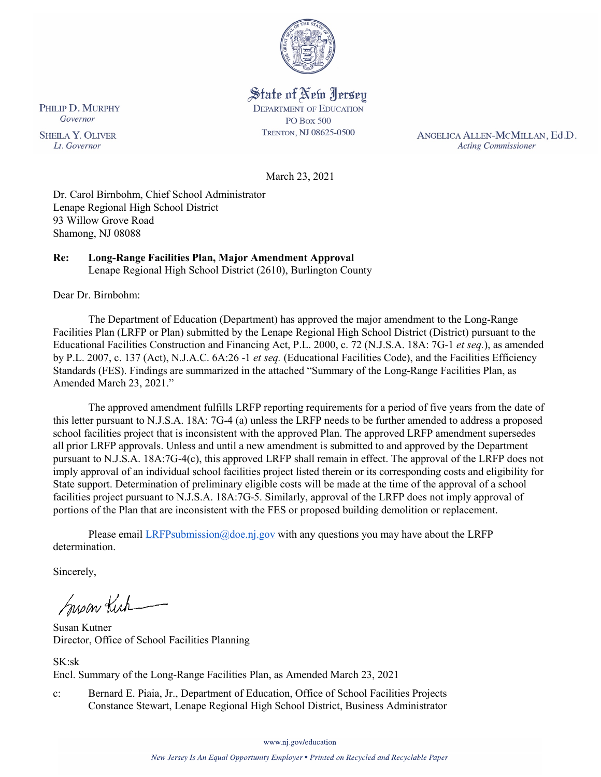

State of New Jersey **DEPARTMENT OF EDUCATION PO Box 500** TRENTON, NJ 08625-0500

ANGELICA ALLEN-MCMILLAN, Ed.D. **Acting Commissioner** 

March 23, 2021

Dr. Carol Birnbohm, Chief School Administrator Lenape Regional High School District 93 Willow Grove Road Shamong, NJ 08088

#### **Re: Long-Range Facilities Plan, Major Amendment Approval**  Lenape Regional High School District (2610), Burlington County

Dear Dr. Birnbohm:

PHILIP D. MURPHY Governor

**SHEILA Y. OLIVER** 

Lt. Governor

The Department of Education (Department) has approved the major amendment to the Long-Range Facilities Plan (LRFP or Plan) submitted by the Lenape Regional High School District (District) pursuant to the Educational Facilities Construction and Financing Act, P.L. 2000, c. 72 (N.J.S.A. 18A: 7G-1 *et seq.*), as amended by P.L. 2007, c. 137 (Act), N.J.A.C. 6A:26 -1 *et seq.* (Educational Facilities Code), and the Facilities Efficiency Standards (FES). Findings are summarized in the attached "Summary of the Long-Range Facilities Plan, as Amended March 23, 2021."

The approved amendment fulfills LRFP reporting requirements for a period of five years from the date of this letter pursuant to N.J.S.A. 18A: 7G-4 (a) unless the LRFP needs to be further amended to address a proposed school facilities project that is inconsistent with the approved Plan. The approved LRFP amendment supersedes all prior LRFP approvals. Unless and until a new amendment is submitted to and approved by the Department pursuant to N.J.S.A. 18A:7G-4(c), this approved LRFP shall remain in effect. The approval of the LRFP does not imply approval of an individual school facilities project listed therein or its corresponding costs and eligibility for State support. Determination of preliminary eligible costs will be made at the time of the approval of a school facilities project pursuant to N.J.S.A. 18A:7G-5. Similarly, approval of the LRFP does not imply approval of portions of the Plan that are inconsistent with the FES or proposed building demolition or replacement.

Please email  $LRFP submission@doe.nj.gov$  with any questions you may have about the LRFP determination.

Sincerely,

Susan Kich

Susan Kutner Director, Office of School Facilities Planning

SK:sk

Encl. Summary of the Long-Range Facilities Plan, as Amended March 23, 2021

c: Bernard E. Piaia, Jr., Department of Education, Office of School Facilities Projects Constance Stewart, Lenape Regional High School District, Business Administrator

www.nj.gov/education

New Jersey Is An Equal Opportunity Employer . Printed on Recycled and Recyclable Paper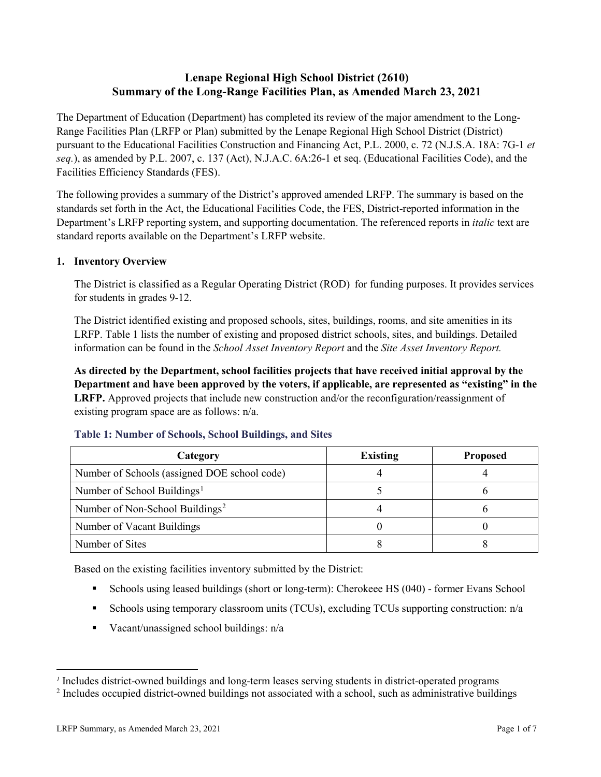# **Lenape Regional High School District (2610) Summary of the Long-Range Facilities Plan, as Amended March 23, 2021**

The Department of Education (Department) has completed its review of the major amendment to the Long-Range Facilities Plan (LRFP or Plan) submitted by the Lenape Regional High School District (District) pursuant to the Educational Facilities Construction and Financing Act, P.L. 2000, c. 72 (N.J.S.A. 18A: 7G-1 *et seq.*), as amended by P.L. 2007, c. 137 (Act), N.J.A.C. 6A:26-1 et seq. (Educational Facilities Code), and the Facilities Efficiency Standards (FES).

The following provides a summary of the District's approved amended LRFP. The summary is based on the standards set forth in the Act, the Educational Facilities Code, the FES, District-reported information in the Department's LRFP reporting system, and supporting documentation. The referenced reports in *italic* text are standard reports available on the Department's LRFP website.

#### **1. Inventory Overview**

The District is classified as a Regular Operating District (ROD) for funding purposes. It provides services for students in grades 9-12.

The District identified existing and proposed schools, sites, buildings, rooms, and site amenities in its LRFP. Table 1 lists the number of existing and proposed district schools, sites, and buildings. Detailed information can be found in the *School Asset Inventory Report* and the *Site Asset Inventory Report.*

**As directed by the Department, school facilities projects that have received initial approval by the Department and have been approved by the voters, if applicable, are represented as "existing" in the LRFP.** Approved projects that include new construction and/or the reconfiguration/reassignment of existing program space are as follows: n/a.

| Category                                     | <b>Existing</b> | <b>Proposed</b> |
|----------------------------------------------|-----------------|-----------------|
| Number of Schools (assigned DOE school code) |                 |                 |
| Number of School Buildings <sup>1</sup>      |                 |                 |
| Number of Non-School Buildings <sup>2</sup>  |                 |                 |
| Number of Vacant Buildings                   |                 |                 |
| Number of Sites                              |                 |                 |

#### **Table 1: Number of Schools, School Buildings, and Sites**

Based on the existing facilities inventory submitted by the District:

- Schools using leased buildings (short or long-term): Cherokeee HS (040) former Evans School
- Schools using temporary classroom units (TCUs), excluding TCUs supporting construction: n/a
- Vacant/unassigned school buildings:  $n/a$

 $\overline{a}$ 

<span id="page-1-1"></span><span id="page-1-0"></span>*<sup>1</sup>* Includes district-owned buildings and long-term leases serving students in district-operated programs

<sup>&</sup>lt;sup>2</sup> Includes occupied district-owned buildings not associated with a school, such as administrative buildings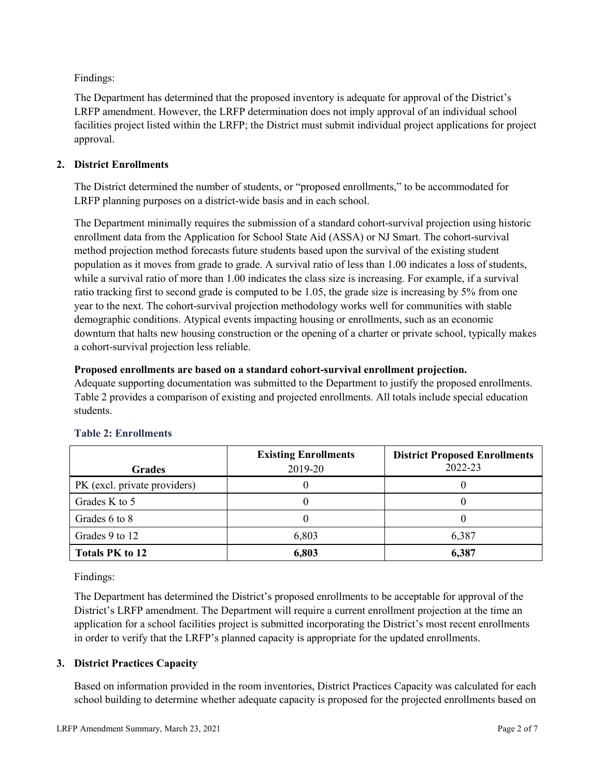Findings:

The Department has determined that the proposed inventory is adequate for approval of the District's LRFP amendment. However, the LRFP determination does not imply approval of an individual school facilities project listed within the LRFP; the District must submit individual project applications for project approval.

# **2. District Enrollments**

The District determined the number of students, or "proposed enrollments," to be accommodated for LRFP planning purposes on a district-wide basis and in each school.

The Department minimally requires the submission of a standard cohort-survival projection using historic enrollment data from the Application for School State Aid (ASSA) or NJ Smart. The cohort-survival method projection method forecasts future students based upon the survival of the existing student population as it moves from grade to grade. A survival ratio of less than 1.00 indicates a loss of students, while a survival ratio of more than 1.00 indicates the class size is increasing. For example, if a survival ratio tracking first to second grade is computed to be 1.05, the grade size is increasing by 5% from one year to the next. The cohort-survival projection methodology works well for communities with stable demographic conditions. Atypical events impacting housing or enrollments, such as an economic downturn that halts new housing construction or the opening of a charter or private school, typically makes a cohort-survival projection less reliable.

#### **Proposed enrollments are based on a standard cohort-survival enrollment projection.**

Adequate supporting documentation was submitted to the Department to justify the proposed enrollments. Table 2 provides a comparison of existing and projected enrollments. All totals include special education students.

|                              | <b>Existing Enrollments</b> | <b>District Proposed Enrollments</b> |
|------------------------------|-----------------------------|--------------------------------------|
| <b>Grades</b>                | 2019-20                     | 2022-23                              |
| PK (excl. private providers) |                             |                                      |
| Grades K to 5                |                             |                                      |
| Grades 6 to 8                |                             |                                      |
| Grades 9 to 12               | 6,803                       | 6,387                                |
| <b>Totals PK to 12</b>       | 6,803                       | 6,387                                |

# **Table 2: Enrollments**

Findings:

The Department has determined the District's proposed enrollments to be acceptable for approval of the District's LRFP amendment. The Department will require a current enrollment projection at the time an application for a school facilities project is submitted incorporating the District's most recent enrollments in order to verify that the LRFP's planned capacity is appropriate for the updated enrollments.

# **3. District Practices Capacity**

Based on information provided in the room inventories, District Practices Capacity was calculated for each school building to determine whether adequate capacity is proposed for the projected enrollments based on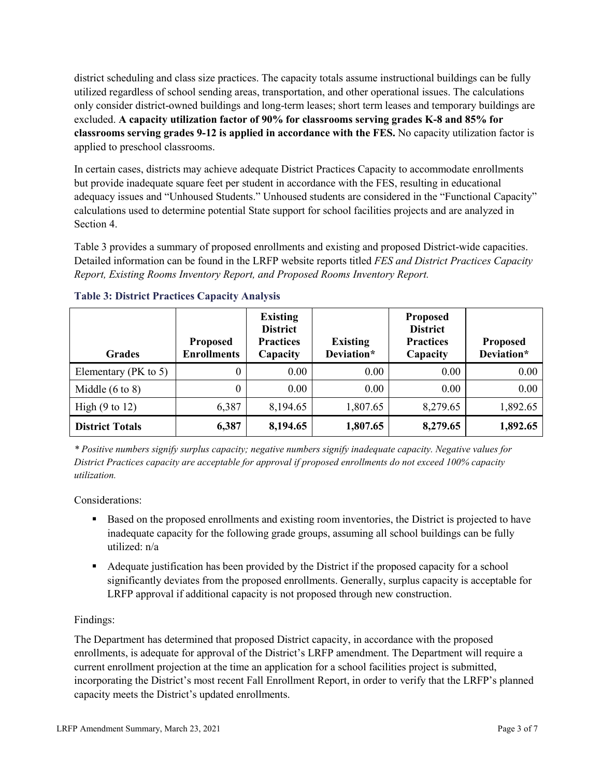district scheduling and class size practices. The capacity totals assume instructional buildings can be fully utilized regardless of school sending areas, transportation, and other operational issues. The calculations only consider district-owned buildings and long-term leases; short term leases and temporary buildings are excluded. **A capacity utilization factor of 90% for classrooms serving grades K-8 and 85% for classrooms serving grades 9-12 is applied in accordance with the FES.** No capacity utilization factor is applied to preschool classrooms.

In certain cases, districts may achieve adequate District Practices Capacity to accommodate enrollments but provide inadequate square feet per student in accordance with the FES, resulting in educational adequacy issues and "Unhoused Students." Unhoused students are considered in the "Functional Capacity" calculations used to determine potential State support for school facilities projects and are analyzed in Section 4.

Table 3 provides a summary of proposed enrollments and existing and proposed District-wide capacities. Detailed information can be found in the LRFP website reports titled *FES and District Practices Capacity Report, Existing Rooms Inventory Report, and Proposed Rooms Inventory Report.*

| <b>Grades</b>              | <b>Proposed</b><br><b>Enrollments</b> | <b>Existing</b><br><b>District</b><br><b>Practices</b><br>Capacity | <b>Existing</b><br>Deviation* | <b>Proposed</b><br><b>District</b><br><b>Practices</b><br>Capacity | <b>Proposed</b><br>Deviation* |
|----------------------------|---------------------------------------|--------------------------------------------------------------------|-------------------------------|--------------------------------------------------------------------|-------------------------------|
| Elementary ( $PK$ to 5)    | 0                                     | 0.00                                                               | 0.00                          | 0.00                                                               | 0.00                          |
| Middle $(6 \text{ to } 8)$ | 0                                     | 0.00                                                               | 0.00                          | 0.00                                                               | 0.00                          |
| High $(9 \text{ to } 12)$  | 6,387                                 | 8,194.65                                                           | 1,807.65                      | 8,279.65                                                           | 1,892.65                      |
| <b>District Totals</b>     | 6,387                                 | 8,194.65                                                           | 1,807.65                      | 8,279.65                                                           | 1,892.65                      |

# **Table 3: District Practices Capacity Analysis**

*\* Positive numbers signify surplus capacity; negative numbers signify inadequate capacity. Negative values for District Practices capacity are acceptable for approval if proposed enrollments do not exceed 100% capacity utilization.*

Considerations:

- Based on the proposed enrollments and existing room inventories, the District is projected to have inadequate capacity for the following grade groups, assuming all school buildings can be fully utilized: n/a
- Adequate justification has been provided by the District if the proposed capacity for a school significantly deviates from the proposed enrollments. Generally, surplus capacity is acceptable for LRFP approval if additional capacity is not proposed through new construction.

# Findings:

The Department has determined that proposed District capacity, in accordance with the proposed enrollments, is adequate for approval of the District's LRFP amendment. The Department will require a current enrollment projection at the time an application for a school facilities project is submitted, incorporating the District's most recent Fall Enrollment Report, in order to verify that the LRFP's planned capacity meets the District's updated enrollments.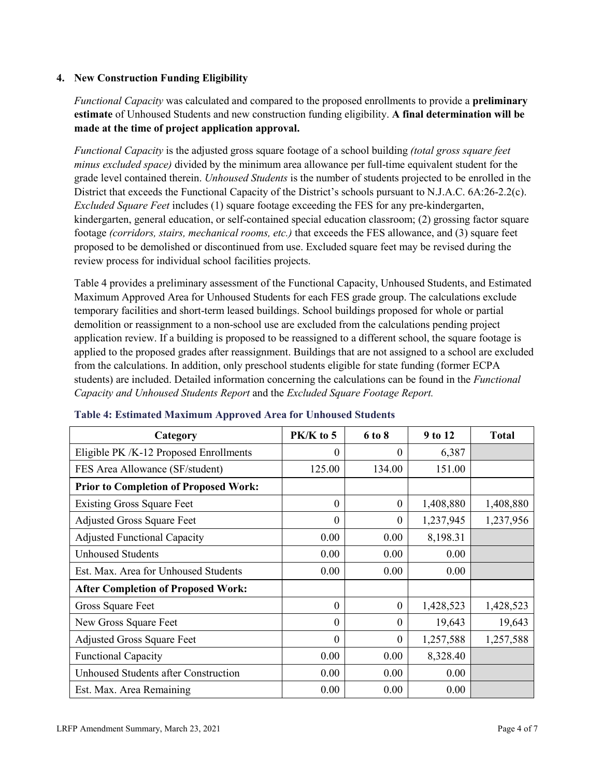# **4. New Construction Funding Eligibility**

*Functional Capacity* was calculated and compared to the proposed enrollments to provide a **preliminary estimate** of Unhoused Students and new construction funding eligibility. **A final determination will be made at the time of project application approval.**

*Functional Capacity* is the adjusted gross square footage of a school building *(total gross square feet minus excluded space)* divided by the minimum area allowance per full-time equivalent student for the grade level contained therein. *Unhoused Students* is the number of students projected to be enrolled in the District that exceeds the Functional Capacity of the District's schools pursuant to N.J.A.C. 6A:26-2.2(c). *Excluded Square Feet* includes (1) square footage exceeding the FES for any pre-kindergarten, kindergarten, general education, or self-contained special education classroom; (2) grossing factor square footage *(corridors, stairs, mechanical rooms, etc.)* that exceeds the FES allowance, and (3) square feet proposed to be demolished or discontinued from use. Excluded square feet may be revised during the review process for individual school facilities projects.

Table 4 provides a preliminary assessment of the Functional Capacity, Unhoused Students, and Estimated Maximum Approved Area for Unhoused Students for each FES grade group. The calculations exclude temporary facilities and short-term leased buildings. School buildings proposed for whole or partial demolition or reassignment to a non-school use are excluded from the calculations pending project application review. If a building is proposed to be reassigned to a different school, the square footage is applied to the proposed grades after reassignment. Buildings that are not assigned to a school are excluded from the calculations. In addition, only preschool students eligible for state funding (former ECPA students) are included. Detailed information concerning the calculations can be found in the *Functional Capacity and Unhoused Students Report* and the *Excluded Square Footage Report.*

| Category                                     | PK/K to 5 | 6 to 8   | 9 to 12   | <b>Total</b> |
|----------------------------------------------|-----------|----------|-----------|--------------|
| Eligible PK /K-12 Proposed Enrollments       | $\theta$  | $^{(1)}$ | 6,387     |              |
| FES Area Allowance (SF/student)              | 125.00    | 134.00   | 151.00    |              |
| <b>Prior to Completion of Proposed Work:</b> |           |          |           |              |
| <b>Existing Gross Square Feet</b>            | $\theta$  | $\theta$ | 1,408,880 | 1,408,880    |
| <b>Adjusted Gross Square Feet</b>            | $\theta$  | $\theta$ | 1,237,945 | 1,237,956    |
| <b>Adjusted Functional Capacity</b>          | 0.00      | 0.00     | 8,198.31  |              |
| <b>Unhoused Students</b>                     | 0.00      | 0.00     | 0.00      |              |
| Est. Max. Area for Unhoused Students         | 0.00      | 0.00     | 0.00      |              |
| <b>After Completion of Proposed Work:</b>    |           |          |           |              |
| Gross Square Feet                            | $\theta$  | $\theta$ | 1,428,523 | 1,428,523    |
| New Gross Square Feet                        | $\theta$  | $\theta$ | 19,643    | 19,643       |
| <b>Adjusted Gross Square Feet</b>            | $\Omega$  | $\Omega$ | 1,257,588 | 1,257,588    |
| <b>Functional Capacity</b>                   | 0.00      | 0.00     | 8,328.40  |              |
| <b>Unhoused Students after Construction</b>  | 0.00      | 0.00     | 0.00      |              |
| Est. Max. Area Remaining                     | 0.00      | 0.00     | 0.00      |              |

#### **Table 4: Estimated Maximum Approved Area for Unhoused Students**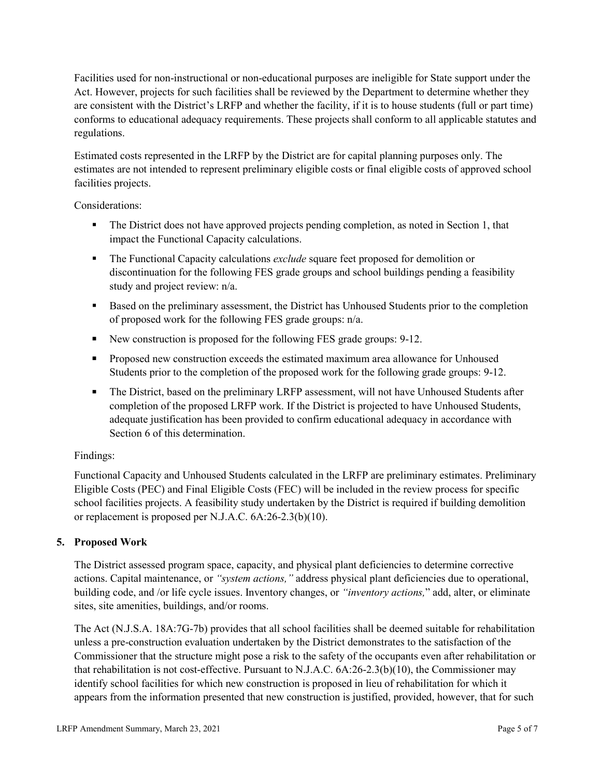Facilities used for non-instructional or non-educational purposes are ineligible for State support under the Act. However, projects for such facilities shall be reviewed by the Department to determine whether they are consistent with the District's LRFP and whether the facility, if it is to house students (full or part time) conforms to educational adequacy requirements. These projects shall conform to all applicable statutes and regulations.

Estimated costs represented in the LRFP by the District are for capital planning purposes only. The estimates are not intended to represent preliminary eligible costs or final eligible costs of approved school facilities projects.

Considerations:

- The District does not have approved projects pending completion, as noted in Section 1, that impact the Functional Capacity calculations.
- **The Functional Capacity calculations** *exclude* square feet proposed for demolition or discontinuation for the following FES grade groups and school buildings pending a feasibility study and project review: n/a.
- Based on the preliminary assessment, the District has Unhoused Students prior to the completion of proposed work for the following FES grade groups: n/a.
- New construction is proposed for the following FES grade groups: 9-12.
- Proposed new construction exceeds the estimated maximum area allowance for Unhoused Students prior to the completion of the proposed work for the following grade groups: 9-12.
- The District, based on the preliminary LRFP assessment, will not have Unhoused Students after completion of the proposed LRFP work. If the District is projected to have Unhoused Students, adequate justification has been provided to confirm educational adequacy in accordance with Section 6 of this determination.

# Findings:

Functional Capacity and Unhoused Students calculated in the LRFP are preliminary estimates. Preliminary Eligible Costs (PEC) and Final Eligible Costs (FEC) will be included in the review process for specific school facilities projects. A feasibility study undertaken by the District is required if building demolition or replacement is proposed per N.J.A.C. 6A:26-2.3(b)(10).

# **5. Proposed Work**

The District assessed program space, capacity, and physical plant deficiencies to determine corrective actions. Capital maintenance, or *"system actions,"* address physical plant deficiencies due to operational, building code, and /or life cycle issues. Inventory changes, or *"inventory actions,*" add, alter, or eliminate sites, site amenities, buildings, and/or rooms.

The Act (N.J.S.A. 18A:7G-7b) provides that all school facilities shall be deemed suitable for rehabilitation unless a pre-construction evaluation undertaken by the District demonstrates to the satisfaction of the Commissioner that the structure might pose a risk to the safety of the occupants even after rehabilitation or that rehabilitation is not cost-effective. Pursuant to N.J.A.C. 6A:26-2.3(b)(10), the Commissioner may identify school facilities for which new construction is proposed in lieu of rehabilitation for which it appears from the information presented that new construction is justified, provided, however, that for such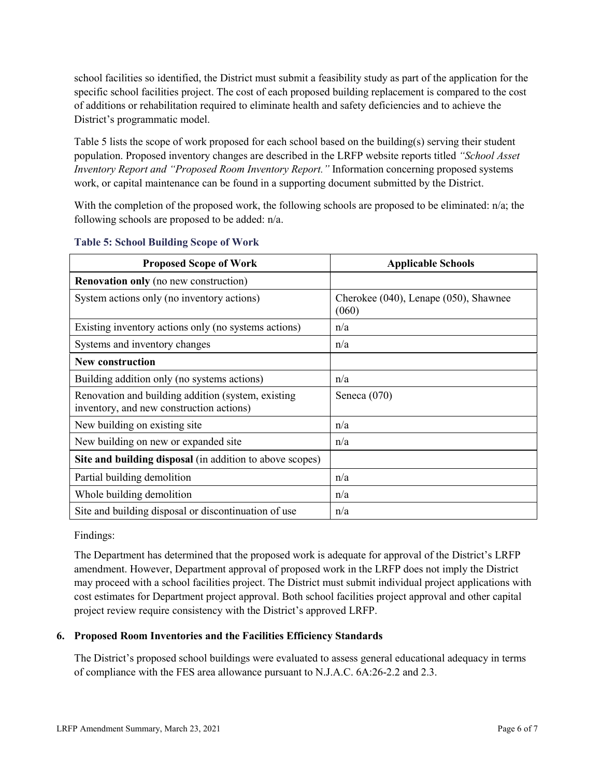school facilities so identified, the District must submit a feasibility study as part of the application for the specific school facilities project. The cost of each proposed building replacement is compared to the cost of additions or rehabilitation required to eliminate health and safety deficiencies and to achieve the District's programmatic model.

Table 5 lists the scope of work proposed for each school based on the building(s) serving their student population. Proposed inventory changes are described in the LRFP website reports titled *"School Asset Inventory Report and "Proposed Room Inventory Report."* Information concerning proposed systems work, or capital maintenance can be found in a supporting document submitted by the District.

With the completion of the proposed work, the following schools are proposed to be eliminated:  $n/a$ ; the following schools are proposed to be added: n/a.

| <b>Proposed Scope of Work</b>                                                                  | <b>Applicable Schools</b>                      |
|------------------------------------------------------------------------------------------------|------------------------------------------------|
| <b>Renovation only</b> (no new construction)                                                   |                                                |
| System actions only (no inventory actions)                                                     | Cherokee (040), Lenape (050), Shawnee<br>(060) |
| Existing inventory actions only (no systems actions)                                           | n/a                                            |
| Systems and inventory changes                                                                  | n/a                                            |
| <b>New construction</b>                                                                        |                                                |
| Building addition only (no systems actions)                                                    | n/a                                            |
| Renovation and building addition (system, existing<br>inventory, and new construction actions) | Seneca $(070)$                                 |
| New building on existing site.                                                                 | n/a                                            |
| New building on new or expanded site                                                           | n/a                                            |
| Site and building disposal (in addition to above scopes)                                       |                                                |
| Partial building demolition                                                                    | n/a                                            |
| Whole building demolition                                                                      | n/a                                            |
| Site and building disposal or discontinuation of use                                           | n/a                                            |

#### **Table 5: School Building Scope of Work**

Findings:

The Department has determined that the proposed work is adequate for approval of the District's LRFP amendment. However, Department approval of proposed work in the LRFP does not imply the District may proceed with a school facilities project. The District must submit individual project applications with cost estimates for Department project approval. Both school facilities project approval and other capital project review require consistency with the District's approved LRFP.

# **6. Proposed Room Inventories and the Facilities Efficiency Standards**

The District's proposed school buildings were evaluated to assess general educational adequacy in terms of compliance with the FES area allowance pursuant to N.J.A.C. 6A:26-2.2 and 2.3.